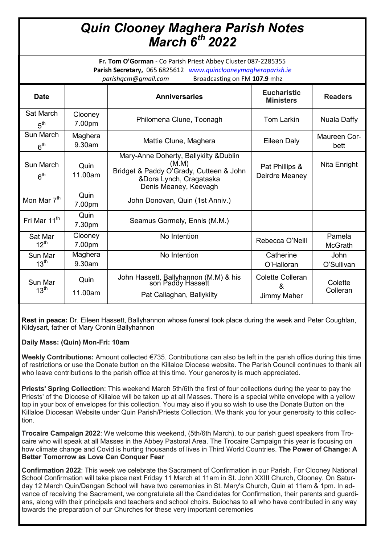## *Quin Clooney Maghera Parish Notes March 6th 2022*

**Fr. Tom O'Gorman** - Co Parish Priest Abbey Cluster 087-2285355 **Parish Secretary,** 065 6825612 *www.quinclooneymagheraparish.ie parishqcm@gmail.com* Broadcasting on FM **107.9** mhz

| <b>Date</b>                  |                   | <b>Anniversaries</b>                                                                                                                           | <b>Eucharistic</b><br><b>Ministers</b>      | <b>Readers</b>            |
|------------------------------|-------------------|------------------------------------------------------------------------------------------------------------------------------------------------|---------------------------------------------|---------------------------|
| Sat March<br>5 <sup>th</sup> | Clooney<br>7.00pm | Philomena Clune, Toonagh                                                                                                                       | <b>Tom Larkin</b>                           | Nuala Daffy               |
| Sun March<br>6 <sup>th</sup> | Maghera<br>9.30am | Mattie Clune, Maghera                                                                                                                          | Eileen Daly                                 | Maureen Cor-<br>bett      |
| Sun March<br>6 <sup>th</sup> | Quin<br>11.00am   | Mary-Anne Doherty, Ballykilty & Dublin<br>(M.M)<br>Bridget & Paddy O'Grady, Cutteen & John<br>&Dora Lynch, Cragataska<br>Denis Meaney, Keevagh | Pat Phillips &<br>Deirdre Meaney            | Nita Enright              |
| Mon Mar 7 <sup>th</sup>      | Quin<br>7.00pm    | John Donovan, Quin (1st Anniv.)                                                                                                                |                                             |                           |
| Fri Mar 11 <sup>th</sup>     | Quin<br>7.30pm    | Seamus Gormely, Ennis (M.M.)                                                                                                                   |                                             |                           |
| Sat Mar<br>$12^{\text{th}}$  | Clooney<br>7.00pm | No Intention                                                                                                                                   | Rebecca O'Neill                             | Pamela<br>McGrath         |
| Sun Mar<br>$13^{\text{th}}$  | Maghera<br>9.30am | No Intention                                                                                                                                   | Catherine<br>O'Halloran                     | <b>John</b><br>O'Sullivan |
| Sun Mar<br>$13^{\text{th}}$  | Quin<br>11.00am   | John Hassett, Ballyhannon (M.M) & his<br>son Paddy Hassett<br>Pat Callaghan, Ballykilty                                                        | <b>Colette Colleran</b><br>&<br>Jimmy Maher | Colette<br>Colleran       |

**Rest in peace:** Dr. Eileen Hassett, Ballyhannon whose funeral took place during the week and Peter Coughlan, Kildysart, father of Mary Cronin Ballyhannon

## **Daily Mass: (Quin) Mon-Fri: 10am**

**Weekly Contributions:** Amount collected €735. Contributions can also be left in the parish office during this time of restrictions or use the Donate button on the Killaloe Diocese website. The Parish Council continues to thank all who leave contributions to the parish office at this time. Your generosity is much appreciated.

**Priests' Spring Collection**: This weekend March 5th/6th the first of four collections during the year to pay the Priests' of the Diocese of Killaloe will be taken up at all Masses. There is a special white envelope with a yellow top in your box of envelopes for this collection. You may also if you so wish to use the Donate Button on the Killaloe Diocesan Website under Quin Parish/Priests Collection. We thank you for your generosity to this collection.

**Trocaire Campaign 2022**: We welcome this weekend, (5th/6th March), to our parish guest speakers from Trocaire who will speak at all Masses in the Abbey Pastoral Area. The Trocaire Campaign this year is focusing on how climate change and Covid is hurting thousands of lives in Third World Countries. **The Power of Change: A Better Tomorrow as Love Can Conquer Fear** 

**Confirmation 2022**: This week we celebrate the Sacrament of Confirmation in our Parish. For Clooney National School Confirmation will take place next Friday 11 March at 11am in St. John XXIII Church, Clooney. On Saturday 12 March Quin/Dangan School will have two ceremonies in St. Mary's Church, Quin at 11am & 1pm. In advance of receiving the Sacrament, we congratulate all the Candidates for Confirmation, their parents and guardians, along with their principals and teachers and school choirs. Buiochas to all who have contributed in any way towards the preparation of our Churches for these very important ceremonies